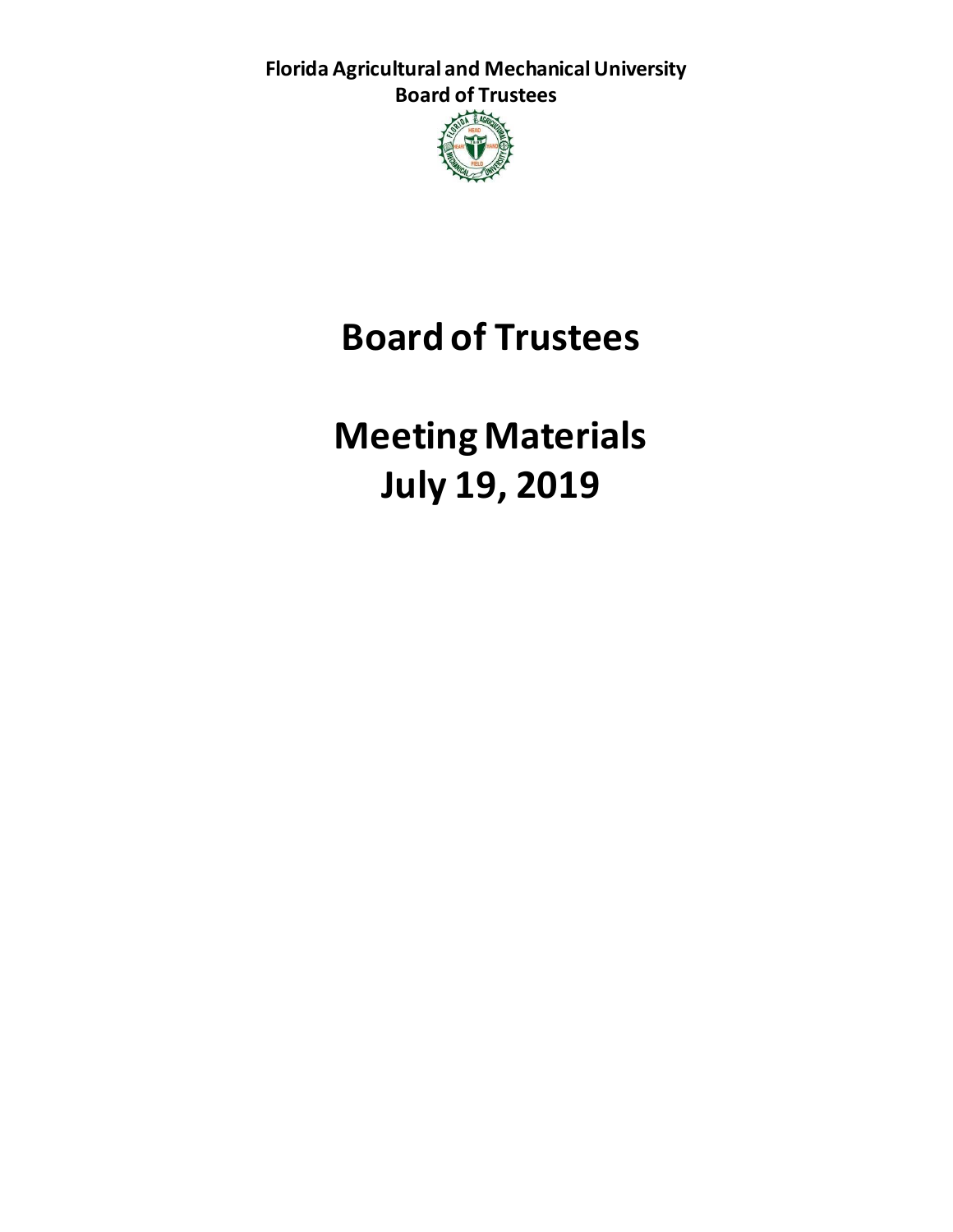**Florida Agricultural and Mechanical University Board of Trustees**



# **Board of Trustees**

**Meeting Materials July 19, 2019**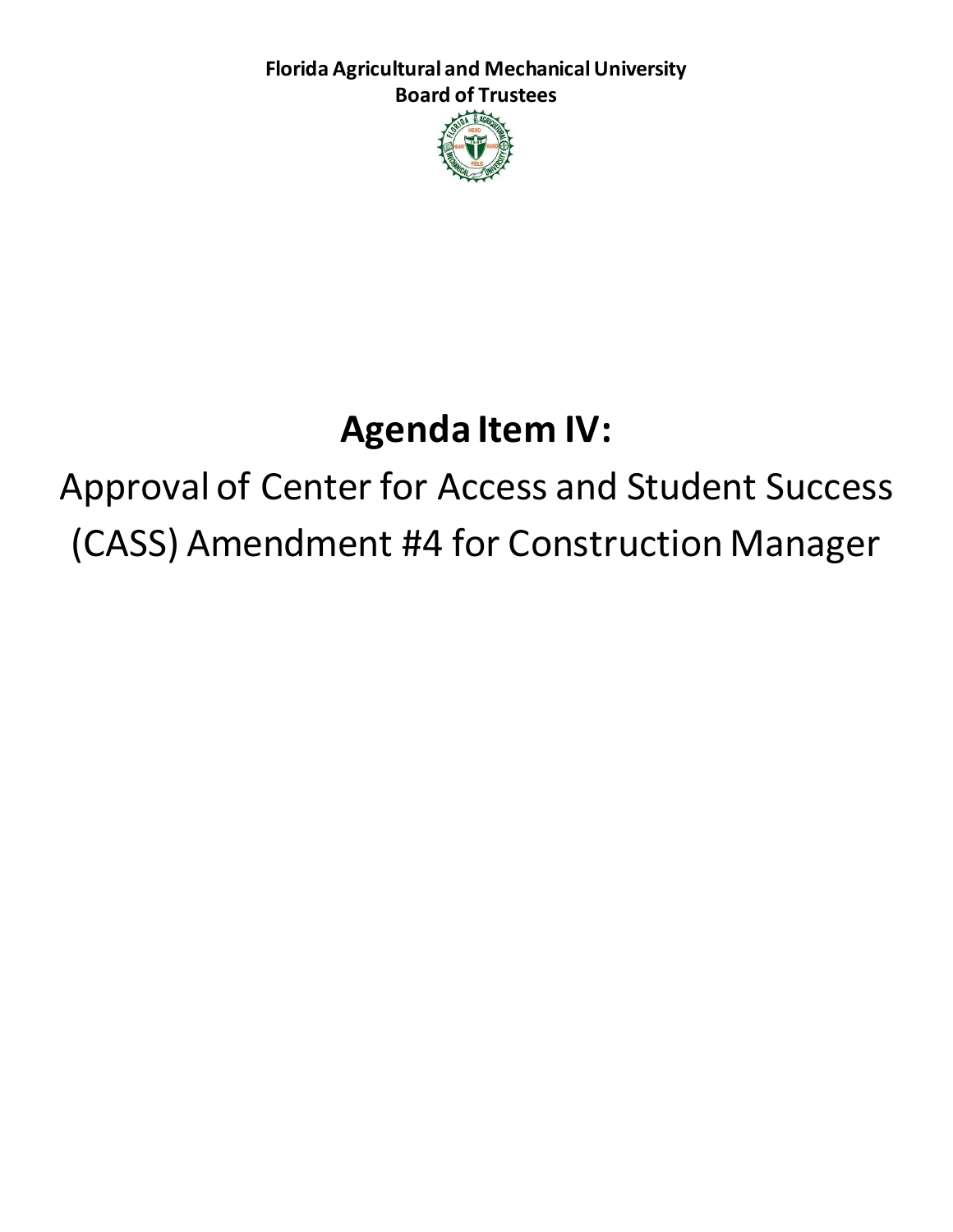**Florida Agricultural and Mechanical University Board of Trustees**



# **Agenda Item IV:**

Approval of Center for Access and Student Success (CASS) Amendment #4 for Construction Manager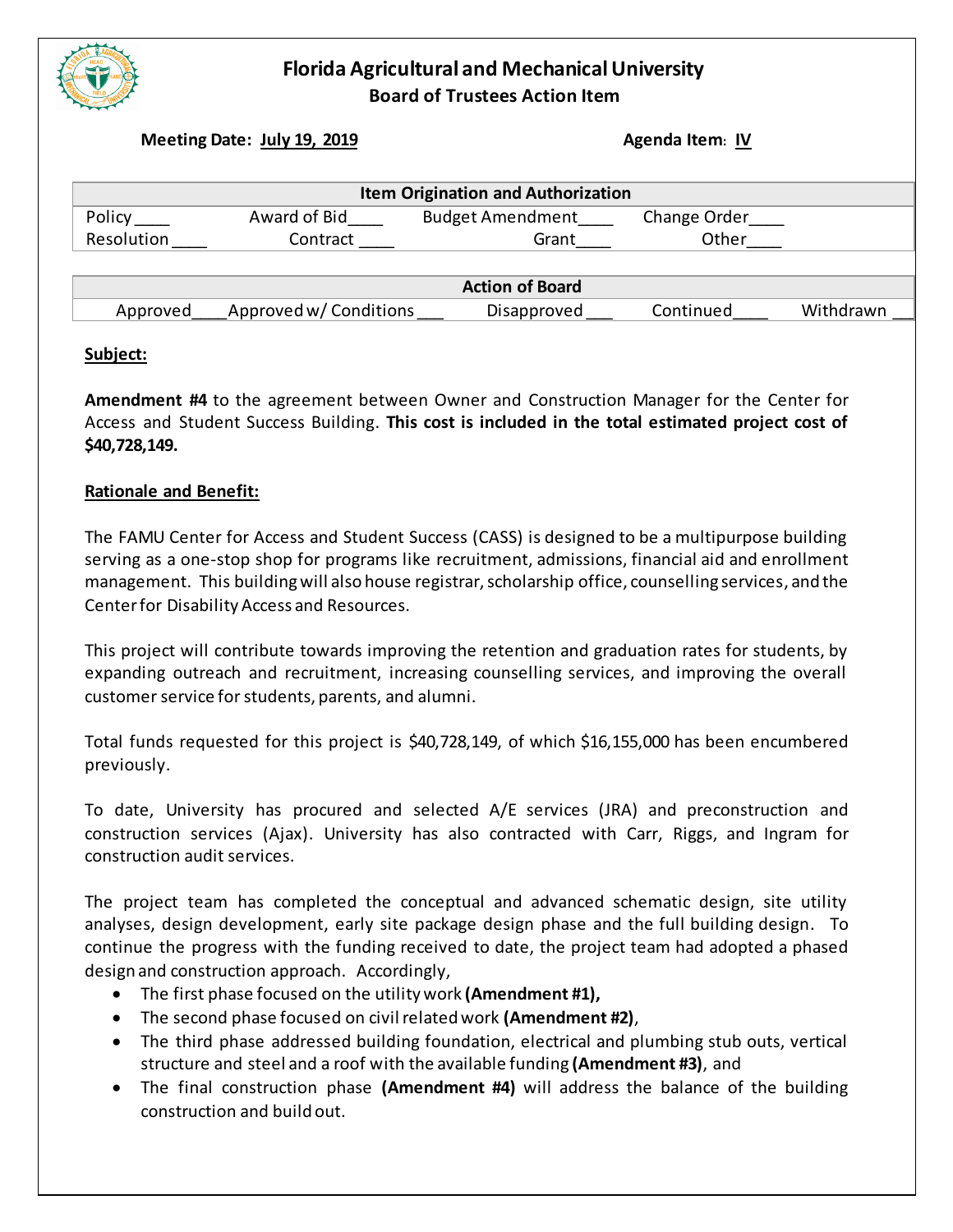

### **Florida Agricultural and Mechanical University Board of Trustees Action Item**

**Meeting Date: July 19, 2019 Agenda Item**: **IV Agenda Item**: **IV** 

| <b>Item Origination and Authorization</b> |                          |                                       |                       |           |
|-------------------------------------------|--------------------------|---------------------------------------|-----------------------|-----------|
| Policy<br>Resolution                      | Award of Bid<br>Contract | <b>Budget Amendment</b><br>Grant      | Change Order<br>Other |           |
| Approved                                  | Approved w/ Conditions   | <b>Action of Board</b><br>Disapproved | Continued             | Withdrawn |

#### **Subject:**

**Amendment #4** to the agreement between Owner and Construction Manager for the Center for Access and Student Success Building. **This cost is included in the total estimated project cost of \$40,728,149.** 

#### **Rationale and Benefit:**

The FAMU Center for Access and Student Success (CASS) is designed to be a multipurpose building serving as a one-stop shop for programs like recruitment, admissions, financial aid and enrollment management. This building will also house registrar, scholarship office, counselling services, and the Center for Disability Access and Resources.

This project will contribute towards improving the retention and graduation rates for students, by expanding outreach and recruitment, increasing counselling services, and improving the overall customer service for students, parents, and alumni.

Total funds requested for this project is \$40,728,149, of which \$16,155,000 has been encumbered previously.

To date, University has procured and selected A/E services (JRA) and preconstruction and construction services (Ajax). University has also contracted with Carr, Riggs, and Ingram for construction audit services.

The project team has completed the conceptual and advanced schematic design, site utility analyses, design development, early site package design phase and the full building design. To continue the progress with the funding received to date, the project team had adopted a phased design and construction approach. Accordingly,

- The first phase focused on the utility work **(Amendment #1),**
- The second phase focused on civil related work **(Amendment #2)**,
- The third phase addressed building foundation, electrical and plumbing stub outs, vertical structure and steel and a roof with the available funding **(Amendment #3)**, and
- The final construction phase **(Amendment #4)** will address the balance of the building construction and build out.